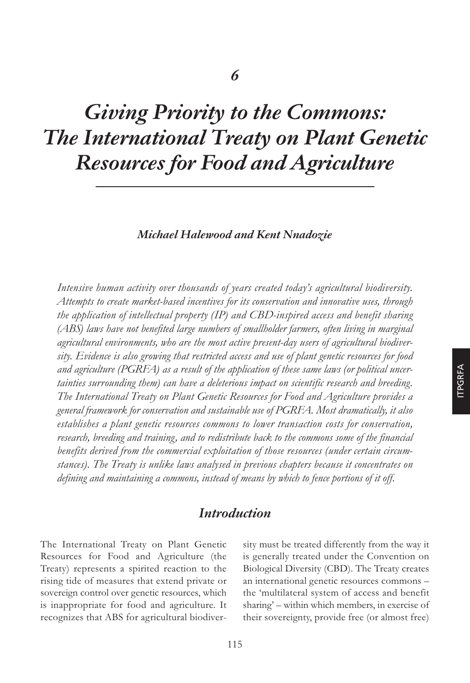# *Giving Priority to the Commons: The International Treaty on Plant Genetic Resources for Food and Agriculture*

#### *Michael Halewood and Kent Nnadozie*

*Intensive human activity over thousands of years created today's agricultural biodiversity. Attempts to create market-based incentives for its conservation and innovative uses, through the application of intellectual property (IP) and CBD-inspired access and benefit sharing (ABS) laws have not benefited large numbers of smallholder farmers, often living in marginal agricultural environments, who are the most active present-day users of agricultural biodiversity. Evidence is also growing that restricted access and use of plant genetic resources for food and agriculture (PGRFA) as a result of the application of these same laws (or political uncertainties surrounding them) can have a deleterious impact on scientific research and breeding. The International Treaty on Plant Genetic Resources for Food and Agriculture provides a general framework for conservation and sustainable use of PGRFA. Most dramatically, it also establishes a plant genetic resources commons to lower transaction costs for conservation, research, breeding and training, and to redistribute back to the commons some of the financial benefits derived from the commercial exploitation of those resources (under certain circumstances). The Treaty is unlike laws analysed in previous chapters because it concentrates on defining and maintaining a commons, instead of means by which to fence portions of it off.* 

## *Introduction*

The International Treaty on Plant Genetic Resources for Food and Agriculture (the Treaty) represents a spirited reaction to the rising tide of measures that extend private or sovereign control over genetic resources, which is inappropriate for food and agriculture. It recognizes that ABS for agricultural biodiversity must be treated differently from the way it is generally treated under the Convention on Biological Diversity (CBD). The Treaty creates an international genetic resources commons – the 'multilateral system of access and benefit sharing' – within which members, in exercise of their sovereignty, provide free (or almost free)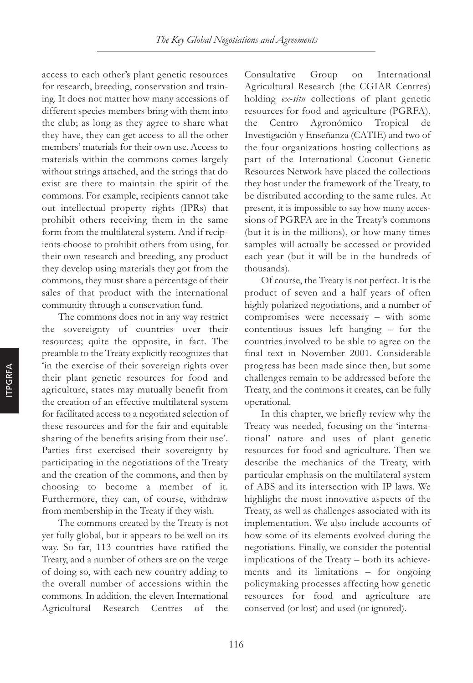access to each other's plant genetic resources for research, breeding, conservation and training. It does not matter how many accessions of different species members bring with them into the club; as long as they agree to share what they have, they can get access to all the other members' materials for their own use. Access to materials within the commons comes largely without strings attached, and the strings that do exist are there to maintain the spirit of the commons. For example, recipients cannot take out intellectual property rights (IPRs) that prohibit others receiving them in the same form from the multilateral system. And if recipients choose to prohibit others from using, for their own research and breeding, any product they develop using materials they got from the commons, they must share a percentage of their sales of that product with the international community through a conservation fund.

The commons does not in any way restrict the sovereignty of countries over their resources; quite the opposite, in fact. The preamble to the Treaty explicitly recognizes that 'in the exercise of their sovereign rights over their plant genetic resources for food and agriculture, states may mutually benefit from the creation of an effective multilateral system for facilitated access to a negotiated selection of these resources and for the fair and equitable sharing of the benefits arising from their use'. Parties first exercised their sovereignty by participating in the negotiations of the Treaty and the creation of the commons, and then by choosing to become a member of it. Furthermore, they can, of course, withdraw from membership in the Treaty if they wish.

The commons created by the Treaty is not yet fully global, but it appears to be well on its way. So far, 113 countries have ratified the Treaty, and a number of others are on the verge of doing so, with each new country adding to the overall number of accessions within the commons. In addition, the eleven International Agricultural Research Centres of the Consultative Group on International Agricultural Research (the CGIAR Centres) holding *ex-situ* collections of plant genetic resources for food and agriculture (PGRFA), the Centro Agronómico Tropical de Investigación y Enseñanza (CATIE) and two of the four organizations hosting collections as part of the International Coconut Genetic Resources Network have placed the collections they host under the framework of the Treaty, to be distributed according to the same rules. At present, it is impossible to say how many accessions of PGRFA are in the Treaty's commons (but it is in the millions), or how many times samples will actually be accessed or provided each year (but it will be in the hundreds of thousands).

Of course, the Treaty is not perfect. It is the product of seven and a half years of often highly polarized negotiations, and a number of compromises were necessary – with some contentious issues left hanging – for the countries involved to be able to agree on the final text in November 2001. Considerable progress has been made since then, but some challenges remain to be addressed before the Treaty, and the commons it creates, can be fully operational.

In this chapter, we briefly review why the Treaty was needed, focusing on the 'international' nature and uses of plant genetic resources for food and agriculture. Then we describe the mechanics of the Treaty, with particular emphasis on the multilateral system of ABS and its intersection with IP laws. We highlight the most innovative aspects of the Treaty, as well as challenges associated with its implementation. We also include accounts of how some of its elements evolved during the negotiations. Finally, we consider the potential implications of the Treaty – both its achievements and its limitations – for ongoing policymaking processes affecting how genetic resources for food and agriculture are conserved (or lost) and used (or ignored).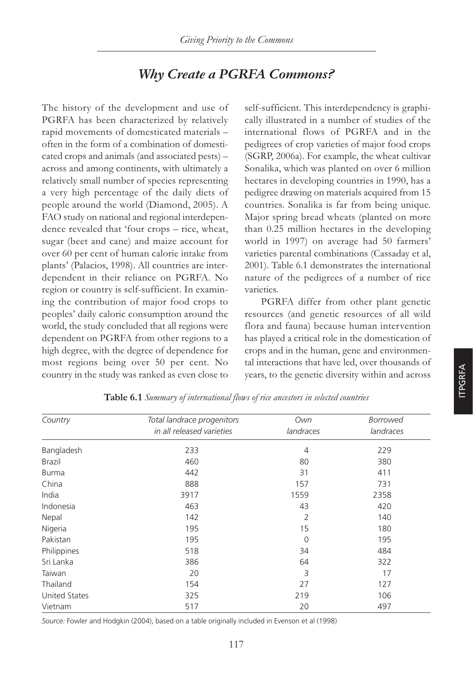# *Why Create a PGRFA Commons?*

The history of the development and use of PGRFA has been characterized by relatively rapid movements of domesticated materials – often in the form of a combination of domesticated crops and animals (and associated pests) – across and among continents, with ultimately a relatively small number of species representing a very high percentage of the daily diets of people around the world (Diamond, 2005). A FAO study on national and regional interdependence revealed that 'four crops – rice, wheat, sugar (beet and cane) and maize account for over 60 per cent of human calorie intake from plants' (Palacios, 1998). All countries are interdependent in their reliance on PGRFA. No region or country is self-sufficient. In examining the contribution of major food crops to peoples' daily caloric consumption around the world, the study concluded that all regions were dependent on PGRFA from other regions to a high degree, with the degree of dependence for most regions being over 50 per cent. No country in the study was ranked as even close to

self-sufficient. This interdependency is graphically illustrated in a number of studies of the international flows of PGRFA and in the pedigrees of crop varieties of major food crops (SGRP, 2006a). For example, the wheat cultivar Sonalika, which was planted on over 6 million hectares in developing countries in 1990, has a pedigree drawing on materials acquired from 15 countries. Sonalika is far from being unique. Major spring bread wheats (planted on more than 0.25 million hectares in the developing world in 1997) on average had 50 farmers' varieties parental combinations (Cassaday et al, 2001). Table 6.1 demonstrates the international nature of the pedigrees of a number of rice varieties.

PGRFA differ from other plant genetic resources (and genetic resources of all wild flora and fauna) because human intervention has played a critical role in the domestication of crops and in the human, gene and environmental interactions that have led, over thousands of years, to the genetic diversity within and across

| Country       | Total landrace progenitors | Own       | <b>Borrowed</b> |
|---------------|----------------------------|-----------|-----------------|
|               | in all released varieties  | landraces | landraces       |
| Bangladesh    | 233                        | 4         | 229             |
| Brazil        | 460                        | 80        | 380             |
| <b>Burma</b>  | 442                        | 31        | 411             |
| China         | 888                        | 157       | 731             |
| India         | 3917                       | 1559      | 2358            |
| Indonesia     | 463                        | 43        | 420             |
| Nepal         | 142                        | 2         | 140             |
| Nigeria       | 195                        | 15        | 180             |
| Pakistan      | 195                        | 0         | 195             |
| Philippines   | 518                        | 34        | 484             |
| Sri Lanka     | 386                        | 64        | 322             |
| Taiwan        | 20                         | 3         | 17              |
| Thailand      | 154                        | 27        | 127             |
| United States | 325                        | 219       | 106             |
| Vietnam       | 517                        | 20        | 497             |

**Table 6.1** *Summary of international flows of rice ancestors in selected countries*

*Source:* Fowler and Hodgkin (2004), based on a table originally included in Evenson et al (1998)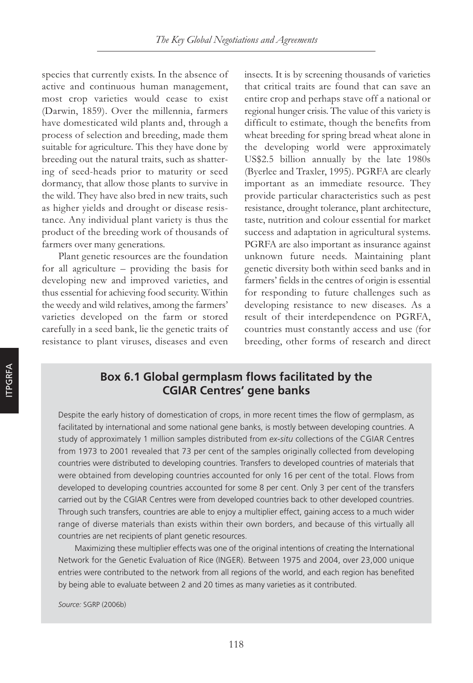species that currently exists. In the absence of active and continuous human management, most crop varieties would cease to exist (Darwin, 1859). Over the millennia, farmers have domesticated wild plants and, through a process of selection and breeding, made them suitable for agriculture. This they have done by breeding out the natural traits, such as shattering of seed-heads prior to maturity or seed dormancy, that allow those plants to survive in the wild. They have also bred in new traits, such as higher yields and drought or disease resistance. Any individual plant variety is thus the product of the breeding work of thousands of farmers over many generations.

Plant genetic resources are the foundation for all agriculture – providing the basis for developing new and improved varieties, and thus essential for achieving food security. Within the weedy and wild relatives, among the farmers' varieties developed on the farm or stored carefully in a seed bank, lie the genetic traits of resistance to plant viruses, diseases and even

insects. It is by screening thousands of varieties that critical traits are found that can save an entire crop and perhaps stave off a national or regional hunger crisis. The value of this variety is difficult to estimate, though the benefits from wheat breeding for spring bread wheat alone in the developing world were approximately US\$2.5 billion annually by the late 1980s (Byerlee and Traxler, 1995). PGRFA are clearly important as an immediate resource. They provide particular characteristics such as pest resistance, drought tolerance, plant architecture, taste, nutrition and colour essential for market success and adaptation in agricultural systems. PGRFA are also important as insurance against unknown future needs. Maintaining plant genetic diversity both within seed banks and in farmers' fields in the centres of origin is essential for responding to future challenges such as developing resistance to new diseases. As a result of their interdependence on PGRFA, countries must constantly access and use (for breeding, other forms of research and direct

## **Box 6.1 Global germplasm flows facilitated by the CGIAR Centres' gene banks**

Despite the early history of domestication of crops, in more recent times the flow of germplasm, as facilitated by international and some national gene banks, is mostly between developing countries. A study of approximately 1 million samples distributed from *ex-situ* collections of the CGIAR Centres from 1973 to 2001 revealed that 73 per cent of the samples originally collected from developing countries were distributed to developing countries. Transfers to developed countries of materials that were obtained from developing countries accounted for only 16 per cent of the total. Flows from developed to developing countries accounted for some 8 per cent. Only 3 per cent of the transfers carried out by the CGIAR Centres were from developed countries back to other developed countries. Through such transfers, countries are able to enjoy a multiplier effect, gaining access to a much wider range of diverse materials than exists within their own borders, and because of this virtually all countries are net recipients of plant genetic resources.

Maximizing these multiplier effects was one of the original intentions of creating the International Network for the Genetic Evaluation of Rice (INGER). Between 1975 and 2004, over 23,000 unique entries were contributed to the network from all regions of the world, and each region has benefited by being able to evaluate between 2 and 20 times as many varieties as it contributed.

*Source:* SGRP (2006b)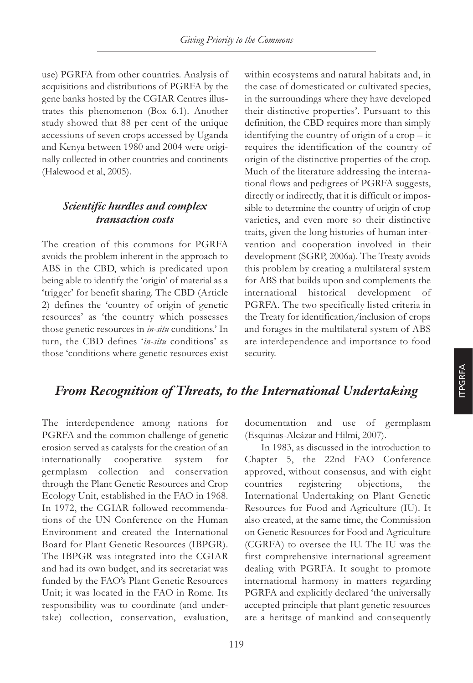use) PGRFA from other countries. Analysis of acquisitions and distributions of PGRFA by the gene banks hosted by the CGIAR Centres illustrates this phenomenon (Box 6.1). Another study showed that 88 per cent of the unique accessions of seven crops accessed by Uganda and Kenya between 1980 and 2004 were originally collected in other countries and continents (Halewood et al, 2005).

## *Scientific hurdles and complex transaction costs*

The creation of this commons for PGRFA avoids the problem inherent in the approach to ABS in the CBD, which is predicated upon being able to identify the 'origin' of material as a 'trigger' for benefit sharing. The CBD (Article 2) defines the 'country of origin of genetic resources' as 'the country which possesses those genetic resources in *in-situ* conditions.' In turn, the CBD defines '*in-situ* conditions' as those 'conditions where genetic resources exist within ecosystems and natural habitats and, in the case of domesticated or cultivated species, in the surroundings where they have developed their distinctive properties'. Pursuant to this definition, the CBD requires more than simply identifying the country of origin of a crop – it requires the identification of the country of origin of the distinctive properties of the crop. Much of the literature addressing the international flows and pedigrees of PGRFA suggests, directly or indirectly, that it is difficult or impossible to determine the country of origin of crop varieties, and even more so their distinctive traits, given the long histories of human intervention and cooperation involved in their development (SGRP, 2006a). The Treaty avoids this problem by creating a multilateral system for ABS that builds upon and complements the international historical development of PGRFA. The two specifically listed criteria in the Treaty for identification/inclusion of crops and forages in the multilateral system of ABS are interdependence and importance to food security.

documentation and use of germplasm

In 1983, as discussed in the introduction to Chapter 5, the 22nd FAO Conference approved, without consensus, and with eight countries registering objections, the International Undertaking on Plant Genetic Resources for Food and Agriculture (IU). It also created, at the same time, the Commission on Genetic Resources for Food and Agriculture (CGRFA) to oversee the IU. The IU was the first comprehensive international agreement dealing with PGRFA. It sought to promote international harmony in matters regarding PGRFA and explicitly declared 'the universally accepted principle that plant genetic resources are a heritage of mankind and consequently

(Esquinas-Alcázar and Hilmi, 2007).

# *From Recognition of Threats, to the International Undertaking*

The interdependence among nations for PGRFA and the common challenge of genetic erosion served as catalysts for the creation of an internationally cooperative system for germplasm collection and conservation through the Plant Genetic Resources and Crop Ecology Unit, established in the FAO in 1968. In 1972, the CGIAR followed recommendations of the UN Conference on the Human Environment and created the International Board for Plant Genetic Resources (IBPGR). The IBPGR was integrated into the CGIAR and had its own budget, and its secretariat was funded by the FAO's Plant Genetic Resources Unit; it was located in the FAO in Rome. Its responsibility was to coordinate (and undertake) collection, conservation, evaluation, ITPGRFA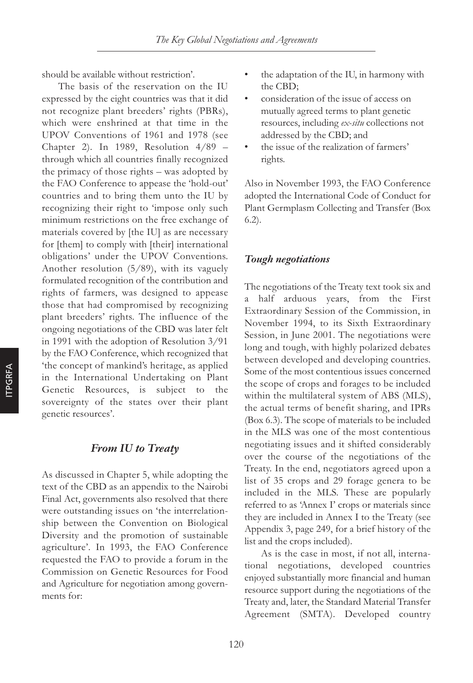should be available without restriction'.

The basis of the reservation on the IU expressed by the eight countries was that it did not recognize plant breeders' rights (PBRs), which were enshrined at that time in the UPOV Conventions of 1961 and 1978 (see Chapter 2). In 1989, Resolution 4/89 – through which all countries finally recognized the primacy of those rights – was adopted by the FAO Conference to appease the 'hold-out' countries and to bring them unto the IU by recognizing their right to 'impose only such minimum restrictions on the free exchange of materials covered by [the IU] as are necessary for [them] to comply with [their] international obligations' under the UPOV Conventions. Another resolution (5/89), with its vaguely formulated recognition of the contribution and rights of farmers, was designed to appease those that had compromised by recognizing plant breeders' rights. The influence of the ongoing negotiations of the CBD was later felt in 1991 with the adoption of Resolution 3/91 by the FAO Conference, which recognized that 'the concept of mankind's heritage, as applied in the International Undertaking on Plant Genetic Resources, is subject to the sovereignty of the states over their plant genetic resources'.

#### *From IU to Treaty*

As discussed in Chapter 5, while adopting the text of the CBD as an appendix to the Nairobi Final Act, governments also resolved that there were outstanding issues on 'the interrelationship between the Convention on Biological Diversity and the promotion of sustainable agriculture'. In 1993, the FAO Conference requested the FAO to provide a forum in the Commission on Genetic Resources for Food and Agriculture for negotiation among governments for:

- the adaptation of the IU, in harmony with the CBD;
- consideration of the issue of access on mutually agreed terms to plant genetic resources, including *ex-situ* collections not addressed by the CBD; and
- the issue of the realization of farmers' rights.

Also in November 1993, the FAO Conference adopted the International Code of Conduct for Plant Germplasm Collecting and Transfer (Box 6.2).

#### *Tough negotiations*

The negotiations of the Treaty text took six and a half arduous years, from the First Extraordinary Session of the Commission, in November 1994, to its Sixth Extraordinary Session, in June 2001. The negotiations were long and tough, with highly polarized debates between developed and developing countries. Some of the most contentious issues concerned the scope of crops and forages to be included within the multilateral system of ABS (MLS), the actual terms of benefit sharing, and IPRs (Box 6.3). The scope of materials to be included in the MLS was one of the most contentious negotiating issues and it shifted considerably over the course of the negotiations of the Treaty. In the end, negotiators agreed upon a list of 35 crops and 29 forage genera to be included in the MLS. These are popularly referred to as 'Annex I' crops or materials since they are included in Annex I to the Treaty (see Appendix 3, page 249, for a brief history of the list and the crops included).

As is the case in most, if not all, international negotiations, developed countries enjoyed substantially more financial and human resource support during the negotiations of the Treaty and, later, the Standard Material Transfer Agreement (SMTA). Developed country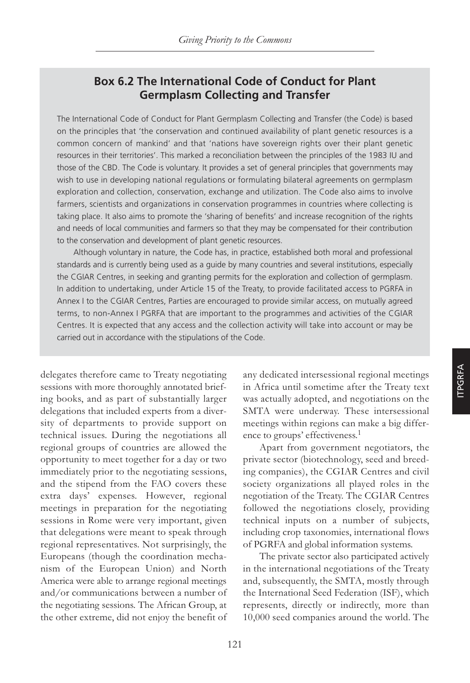## **Box 6.2 The International Code of Conduct for Plant Germplasm Collecting and Transfer**

The International Code of Conduct for Plant Germplasm Collecting and Transfer (the Code) is based on the principles that 'the conservation and continued availability of plant genetic resources is a common concern of mankind' and that 'nations have sovereign rights over their plant genetic resources in their territories'. This marked a reconciliation between the principles of the 1983 IU and those of the CBD. The Code is voluntary. It provides a set of general principles that governments may wish to use in developing national regulations or formulating bilateral agreements on germplasm exploration and collection, conservation, exchange and utilization. The Code also aims to involve farmers, scientists and organizations in conservation programmes in countries where collecting is taking place. It also aims to promote the 'sharing of benefits' and increase recognition of the rights and needs of local communities and farmers so that they may be compensated for their contribution to the conservation and development of plant genetic resources.

Although voluntary in nature, the Code has, in practice, established both moral and professional standards and is currently being used as a guide by many countries and several institutions, especially the CGIAR Centres, in seeking and granting permits for the exploration and collection of germplasm. In addition to undertaking, under Article 15 of the Treaty, to provide facilitated access to PGRFA in Annex I to the CGIAR Centres, Parties are encouraged to provide similar access, on mutually agreed terms, to non-Annex I PGRFA that are important to the programmes and activities of the CGIAR Centres. It is expected that any access and the collection activity will take into account or may be carried out in accordance with the stipulations of the Code.

delegates therefore came to Treaty negotiating sessions with more thoroughly annotated briefing books, and as part of substantially larger delegations that included experts from a diversity of departments to provide support on technical issues. During the negotiations all regional groups of countries are allowed the opportunity to meet together for a day or two immediately prior to the negotiating sessions, and the stipend from the FAO covers these extra days' expenses. However, regional meetings in preparation for the negotiating sessions in Rome were very important, given that delegations were meant to speak through regional representatives. Not surprisingly, the Europeans (though the coordination mechanism of the European Union) and North America were able to arrange regional meetings and/or communications between a number of the negotiating sessions. The African Group, at the other extreme, did not enjoy the benefit of any dedicated intersessional regional meetings in Africa until sometime after the Treaty text was actually adopted, and negotiations on the SMTA were underway. These intersessional meetings within regions can make a big difference to groups' effectiveness.<sup>1</sup>

Apart from government negotiators, the private sector (biotechnology, seed and breeding companies), the CGIAR Centres and civil society organizations all played roles in the negotiation of the Treaty. The CGIAR Centres followed the negotiations closely, providing technical inputs on a number of subjects, including crop taxonomies, international flows of PGRFA and global information systems.

The private sector also participated actively in the international negotiations of the Treaty and, subsequently, the SMTA, mostly through the International Seed Federation (ISF), which represents, directly or indirectly, more than 10,000 seed companies around the world. The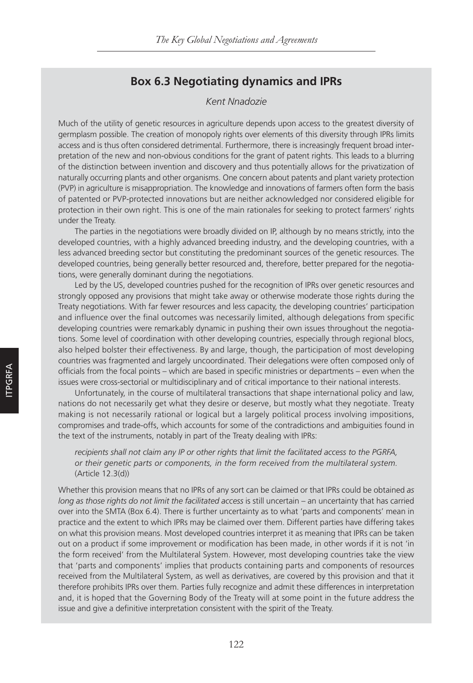## **Box 6.3 Negotiating dynamics and IPRs**

#### *Kent Nnadozie*

Much of the utility of genetic resources in agriculture depends upon access to the greatest diversity of germplasm possible. The creation of monopoly rights over elements of this diversity through IPRs limits access and is thus often considered detrimental. Furthermore, there is increasingly frequent broad interpretation of the new and non-obvious conditions for the grant of patent rights. This leads to a blurring of the distinction between invention and discovery and thus potentially allows for the privatization of naturally occurring plants and other organisms. One concern about patents and plant variety protection (PVP) in agriculture is misappropriation. The knowledge and innovations of farmers often form the basis of patented or PVP-protected innovations but are neither acknowledged nor considered eligible for protection in their own right. This is one of the main rationales for seeking to protect farmers' rights under the Treaty.

The parties in the negotiations were broadly divided on IP, although by no means strictly, into the developed countries, with a highly advanced breeding industry, and the developing countries, with a less advanced breeding sector but constituting the predominant sources of the genetic resources. The developed countries, being generally better resourced and, therefore, better prepared for the negotiations, were generally dominant during the negotiations.

Led by the US, developed countries pushed for the recognition of IPRs over genetic resources and strongly opposed any provisions that might take away or otherwise moderate those rights during the Treaty negotiations. With far fewer resources and less capacity, the developing countries' participation and influence over the final outcomes was necessarily limited, although delegations from specific developing countries were remarkably dynamic in pushing their own issues throughout the negotiations. Some level of coordination with other developing countries, especially through regional blocs, also helped bolster their effectiveness. By and large, though, the participation of most developing countries was fragmented and largely uncoordinated. Their delegations were often composed only of officials from the focal points – which are based in specific ministries or departments – even when the issues were cross-sectorial or multidisciplinary and of critical importance to their national interests.

Unfortunately, in the course of multilateral transactions that shape international policy and law, nations do not necessarily get what they desire or deserve, but mostly what they negotiate. Treaty making is not necessarily rational or logical but a largely political process involving impositions, compromises and trade-offs, which accounts for some of the contradictions and ambiguities found in the text of the instruments, notably in part of the Treaty dealing with IPRs:

*recipients shall not claim any IP or other rights that limit the facilitated access to the PGRFA, or their genetic parts or components, in the form received from the multilateral system.* (Article 12.3(d))

Whether this provision means that no IPRs of any sort can be claimed or that IPRs could be obtained *as long as those rights do not limit the facilitated access* is still uncertain – an uncertainty that has carried over into the SMTA (Box 6.4). There is further uncertainty as to what 'parts and components' mean in practice and the extent to which IPRs may be claimed over them. Different parties have differing takes on what this provision means. Most developed countries interpret it as meaning that IPRs can be taken out on a product if some improvement or modification has been made, in other words if it is not 'in the form received' from the Multilateral System. However, most developing countries take the view that 'parts and components' implies that products containing parts and components of resources received from the Multilateral System, as well as derivatives, are covered by this provision and that it therefore prohibits IPRs over them. Parties fully recognize and admit these differences in interpretation and, it is hoped that the Governing Body of the Treaty will at some point in the future address the issue and give a definitive interpretation consistent with the spirit of the Treaty.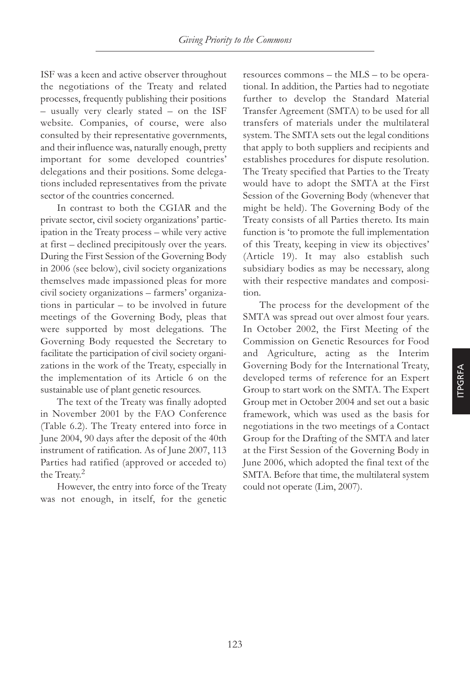ISF was a keen and active observer throughout the negotiations of the Treaty and related processes, frequently publishing their positions – usually very clearly stated – on the ISF website. Companies, of course, were also consulted by their representative governments, and their influence was, naturally enough, pretty important for some developed countries' delegations and their positions. Some delegations included representatives from the private sector of the countries concerned.

In contrast to both the CGIAR and the private sector, civil society organizations' participation in the Treaty process – while very active at first – declined precipitously over the years. During the First Session of the Governing Body in 2006 (see below), civil society organizations themselves made impassioned pleas for more civil society organizations – farmers' organizations in particular – to be involved in future meetings of the Governing Body, pleas that were supported by most delegations. The Governing Body requested the Secretary to facilitate the participation of civil society organizations in the work of the Treaty, especially in the implementation of its Article 6 on the sustainable use of plant genetic resources.

The text of the Treaty was finally adopted in November 2001 by the FAO Conference (Table 6.2). The Treaty entered into force in June 2004, 90 days after the deposit of the 40th instrument of ratification. As of June 2007, 113 Parties had ratified (approved or acceded to) the Treaty.<sup>2</sup>

However, the entry into force of the Treaty was not enough, in itself, for the genetic resources commons – the MLS – to be operational. In addition, the Parties had to negotiate further to develop the Standard Material Transfer Agreement (SMTA) to be used for all transfers of materials under the multilateral system. The SMTA sets out the legal conditions that apply to both suppliers and recipients and establishes procedures for dispute resolution. The Treaty specified that Parties to the Treaty would have to adopt the SMTA at the First Session of the Governing Body (whenever that might be held). The Governing Body of the Treaty consists of all Parties thereto. Its main function is 'to promote the full implementation of this Treaty, keeping in view its objectives' (Article 19). It may also establish such subsidiary bodies as may be necessary, along with their respective mandates and composition.

The process for the development of the SMTA was spread out over almost four years. In October 2002, the First Meeting of the Commission on Genetic Resources for Food and Agriculture, acting as the Interim Governing Body for the International Treaty, developed terms of reference for an Expert Group to start work on the SMTA. The Expert Group met in October 2004 and set out a basic framework, which was used as the basis for negotiations in the two meetings of a Contact Group for the Drafting of the SMTA and later at the First Session of the Governing Body in June 2006, which adopted the final text of the SMTA. Before that time, the multilateral system could not operate (Lim, 2007).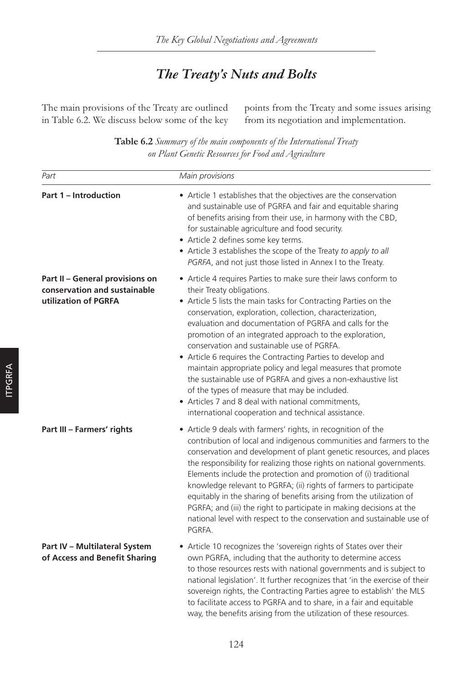# *The Treaty's Nuts and Bolts*

The main provisions of the Treaty are outlined in Table 6.2. We discuss below some of the key points from the Treaty and some issues arising from its negotiation and implementation.

**Table 6.2** *Summary of the main components of the International Treaty on Plant Genetic Resources for Food and Agriculture*

| Part                                                                                    | Main provisions                                                                                                                                                                                                                                                                                                                                                                                                                                                                                                                                                                                                                                                                                                                                             |
|-----------------------------------------------------------------------------------------|-------------------------------------------------------------------------------------------------------------------------------------------------------------------------------------------------------------------------------------------------------------------------------------------------------------------------------------------------------------------------------------------------------------------------------------------------------------------------------------------------------------------------------------------------------------------------------------------------------------------------------------------------------------------------------------------------------------------------------------------------------------|
| <b>Part 1 - Introduction</b>                                                            | • Article 1 establishes that the objectives are the conservation<br>and sustainable use of PGRFA and fair and equitable sharing<br>of benefits arising from their use, in harmony with the CBD,<br>for sustainable agriculture and food security.<br>• Article 2 defines some key terms.<br>• Article 3 establishes the scope of the Treaty to apply to all<br>PGRFA, and not just those listed in Annex I to the Treaty.                                                                                                                                                                                                                                                                                                                                   |
| Part II - General provisions on<br>conservation and sustainable<br>utilization of PGRFA | • Article 4 requires Parties to make sure their laws conform to<br>their Treaty obligations.<br>• Article 5 lists the main tasks for Contracting Parties on the<br>conservation, exploration, collection, characterization,<br>evaluation and documentation of PGRFA and calls for the<br>promotion of an integrated approach to the exploration,<br>conservation and sustainable use of PGRFA.<br>• Article 6 requires the Contracting Parties to develop and<br>maintain appropriate policy and legal measures that promote<br>the sustainable use of PGRFA and gives a non-exhaustive list<br>of the types of measure that may be included.<br>• Articles 7 and 8 deal with national commitments,<br>international cooperation and technical assistance. |
| Part III - Farmers' rights                                                              | • Article 9 deals with farmers' rights, in recognition of the<br>contribution of local and indigenous communities and farmers to the<br>conservation and development of plant genetic resources, and places<br>the responsibility for realizing those rights on national governments.<br>Elements include the protection and promotion of (i) traditional<br>knowledge relevant to PGRFA; (ii) rights of farmers to participate<br>equitably in the sharing of benefits arising from the utilization of<br>PGRFA; and (iii) the right to participate in making decisions at the<br>national level with respect to the conservation and sustainable use of<br>PGRFA.                                                                                         |
| Part IV - Multilateral System<br>of Access and Benefit Sharing                          | • Article 10 recognizes the 'sovereign rights of States over their<br>own PGRFA, including that the authority to determine access<br>to those resources rests with national governments and is subject to<br>national legislation'. It further recognizes that 'in the exercise of their<br>sovereign rights, the Contracting Parties agree to establish' the MLS<br>to facilitate access to PGRFA and to share, in a fair and equitable<br>way, the benefits arising from the utilization of these resources.                                                                                                                                                                                                                                              |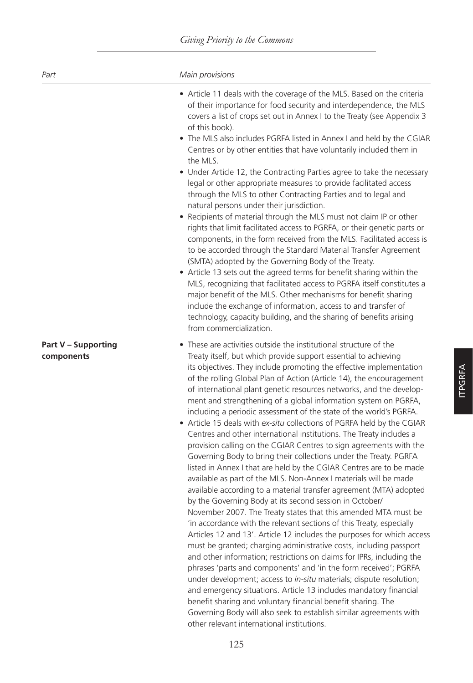| Part                                     | Main provisions                                                                                                                                                                                                                                                                                                                                                                                                                                                                                                                                                                                                                                                                                                                                                                                                                                                                                                                                                                                                                                                                                                                                                                                                                                                                                                                                                                                                                                                                                                                                                                                                                                                                                                                                                                                                                                    |
|------------------------------------------|----------------------------------------------------------------------------------------------------------------------------------------------------------------------------------------------------------------------------------------------------------------------------------------------------------------------------------------------------------------------------------------------------------------------------------------------------------------------------------------------------------------------------------------------------------------------------------------------------------------------------------------------------------------------------------------------------------------------------------------------------------------------------------------------------------------------------------------------------------------------------------------------------------------------------------------------------------------------------------------------------------------------------------------------------------------------------------------------------------------------------------------------------------------------------------------------------------------------------------------------------------------------------------------------------------------------------------------------------------------------------------------------------------------------------------------------------------------------------------------------------------------------------------------------------------------------------------------------------------------------------------------------------------------------------------------------------------------------------------------------------------------------------------------------------------------------------------------------------|
|                                          | • Article 11 deals with the coverage of the MLS. Based on the criteria<br>of their importance for food security and interdependence, the MLS<br>covers a list of crops set out in Annex I to the Treaty (see Appendix 3<br>of this book).<br>. The MLS also includes PGRFA listed in Annex I and held by the CGIAR<br>Centres or by other entities that have voluntarily included them in<br>the MLS.<br>• Under Article 12, the Contracting Parties agree to take the necessary<br>legal or other appropriate measures to provide facilitated access<br>through the MLS to other Contracting Parties and to legal and<br>natural persons under their jurisdiction.<br>• Recipients of material through the MLS must not claim IP or other<br>rights that limit facilitated access to PGRFA, or their genetic parts or<br>components, in the form received from the MLS. Facilitated access is<br>to be accorded through the Standard Material Transfer Agreement<br>(SMTA) adopted by the Governing Body of the Treaty.<br>• Article 13 sets out the agreed terms for benefit sharing within the<br>MLS, recognizing that facilitated access to PGRFA itself constitutes a<br>major benefit of the MLS. Other mechanisms for benefit sharing<br>include the exchange of information, access to and transfer of<br>technology, capacity building, and the sharing of benefits arising<br>from commercialization.                                                                                                                                                                                                                                                                                                                                                                                                                                   |
| <b>Part V - Supporting</b><br>components | • These are activities outside the institutional structure of the<br>Treaty itself, but which provide support essential to achieving<br>its objectives. They include promoting the effective implementation<br>of the rolling Global Plan of Action (Article 14), the encouragement<br>of international plant genetic resources networks, and the develop-<br>ment and strengthening of a global information system on PGRFA,<br>including a periodic assessment of the state of the world's PGRFA.<br>• Article 15 deals with ex-situ collections of PGRFA held by the CGIAR<br>Centres and other international institutions. The Treaty includes a<br>provision calling on the CGIAR Centres to sign agreements with the<br>Governing Body to bring their collections under the Treaty. PGRFA<br>listed in Annex I that are held by the CGIAR Centres are to be made<br>available as part of the MLS. Non-Annex I materials will be made<br>available according to a material transfer agreement (MTA) adopted<br>by the Governing Body at its second session in October/<br>November 2007. The Treaty states that this amended MTA must be<br>'in accordance with the relevant sections of this Treaty, especially<br>Articles 12 and 13'. Article 12 includes the purposes for which access<br>must be granted; charging administrative costs, including passport<br>and other information; restrictions on claims for IPRs, including the<br>phrases 'parts and components' and 'in the form received'; PGRFA<br>under development; access to in-situ materials; dispute resolution;<br>and emergency situations. Article 13 includes mandatory financial<br>benefit sharing and voluntary financial benefit sharing. The<br>Governing Body will also seek to establish similar agreements with<br>other relevant international institutions. |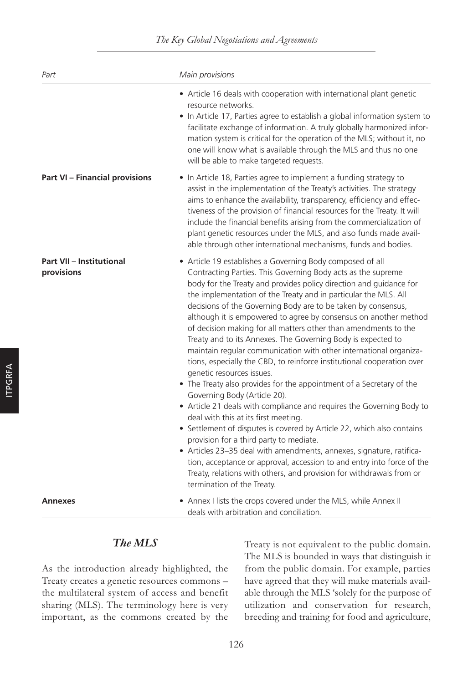| Part                                          | Main provisions                                                                                                                                                                                                                                                                                                                                                                                                                                                                                                                                                                                                                                                                                                                                                                                                                                                                                                                                                                                                                                                                                                                                                                                                                                                                                                              |  |  |
|-----------------------------------------------|------------------------------------------------------------------------------------------------------------------------------------------------------------------------------------------------------------------------------------------------------------------------------------------------------------------------------------------------------------------------------------------------------------------------------------------------------------------------------------------------------------------------------------------------------------------------------------------------------------------------------------------------------------------------------------------------------------------------------------------------------------------------------------------------------------------------------------------------------------------------------------------------------------------------------------------------------------------------------------------------------------------------------------------------------------------------------------------------------------------------------------------------------------------------------------------------------------------------------------------------------------------------------------------------------------------------------|--|--|
|                                               | • Article 16 deals with cooperation with international plant genetic<br>resource networks.<br>• In Article 17, Parties agree to establish a global information system to<br>facilitate exchange of information. A truly globally harmonized infor-<br>mation system is critical for the operation of the MLS; without it, no<br>one will know what is available through the MLS and thus no one<br>will be able to make targeted requests.                                                                                                                                                                                                                                                                                                                                                                                                                                                                                                                                                                                                                                                                                                                                                                                                                                                                                   |  |  |
| <b>Part VI - Financial provisions</b>         | • In Article 18, Parties agree to implement a funding strategy to<br>assist in the implementation of the Treaty's activities. The strategy<br>aims to enhance the availability, transparency, efficiency and effec-<br>tiveness of the provision of financial resources for the Treaty. It will<br>include the financial benefits arising from the commercialization of<br>plant genetic resources under the MLS, and also funds made avail-<br>able through other international mechanisms, funds and bodies.                                                                                                                                                                                                                                                                                                                                                                                                                                                                                                                                                                                                                                                                                                                                                                                                               |  |  |
| <b>Part VII - Institutional</b><br>provisions | • Article 19 establishes a Governing Body composed of all<br>Contracting Parties. This Governing Body acts as the supreme<br>body for the Treaty and provides policy direction and guidance for<br>the implementation of the Treaty and in particular the MLS. All<br>decisions of the Governing Body are to be taken by consensus,<br>although it is empowered to agree by consensus on another method<br>of decision making for all matters other than amendments to the<br>Treaty and to its Annexes. The Governing Body is expected to<br>maintain regular communication with other international organiza-<br>tions, especially the CBD, to reinforce institutional cooperation over<br>genetic resources issues.<br>• The Treaty also provides for the appointment of a Secretary of the<br>Governing Body (Article 20).<br>• Article 21 deals with compliance and requires the Governing Body to<br>deal with this at its first meeting.<br>• Settlement of disputes is covered by Article 22, which also contains<br>provision for a third party to mediate.<br>• Articles 23-35 deal with amendments, annexes, signature, ratifica-<br>tion, acceptance or approval, accession to and entry into force of the<br>Treaty, relations with others, and provision for withdrawals from or<br>termination of the Treaty. |  |  |
| Annexes                                       | • Annex I lists the crops covered under the MLS, while Annex II<br>deals with arbitration and conciliation.                                                                                                                                                                                                                                                                                                                                                                                                                                                                                                                                                                                                                                                                                                                                                                                                                                                                                                                                                                                                                                                                                                                                                                                                                  |  |  |

#### *The MLS*

As the introduction already highlighted, the Treaty creates a genetic resources commons – the multilateral system of access and benefit sharing (MLS). The terminology here is very important, as the commons created by the

Treaty is not equivalent to the public domain. The MLS is bounded in ways that distinguish it from the public domain. For example, parties have agreed that they will make materials available through the MLS 'solely for the purpose of utilization and conservation for research, breeding and training for food and agriculture,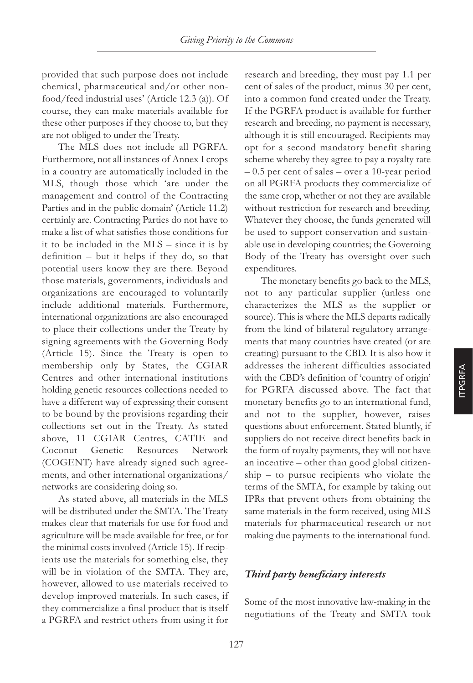provided that such purpose does not include chemical, pharmaceutical and/or other nonfood/feed industrial uses' (Article 12.3 (a)). Of course, they can make materials available for these other purposes if they choose to, but they are not obliged to under the Treaty.

The MLS does not include all PGRFA. Furthermore, not all instances of Annex I crops in a country are automatically included in the MLS, though those which 'are under the management and control of the Contracting Parties and in the public domain' (Article 11.2) certainly are. Contracting Parties do not have to make a list of what satisfies those conditions for it to be included in the MLS – since it is by definition – but it helps if they do, so that potential users know they are there. Beyond those materials, governments, individuals and organizations are encouraged to voluntarily include additional materials. Furthermore, international organizations are also encouraged to place their collections under the Treaty by signing agreements with the Governing Body (Article 15). Since the Treaty is open to membership only by States, the CGIAR Centres and other international institutions holding genetic resources collections needed to have a different way of expressing their consent to be bound by the provisions regarding their collections set out in the Treaty. As stated above, 11 CGIAR Centres, CATIE and Coconut Genetic Resources Network (COGENT) have already signed such agreements, and other international organizations/ networks are considering doing so.

As stated above, all materials in the MLS will be distributed under the SMTA. The Treaty makes clear that materials for use for food and agriculture will be made available for free, or for the minimal costs involved (Article 15). If recipients use the materials for something else, they will be in violation of the SMTA. They are, however, allowed to use materials received to develop improved materials. In such cases, if they commercialize a final product that is itself a PGRFA and restrict others from using it for research and breeding, they must pay 1.1 per cent of sales of the product, minus 30 per cent, into a common fund created under the Treaty. If the PGRFA product is available for further research and breeding, no payment is necessary, although it is still encouraged. Recipients may opt for a second mandatory benefit sharing scheme whereby they agree to pay a royalty rate – 0.5 per cent of sales – over a 10-year period on all PGRFA products they commercialize of the same crop, whether or not they are available without restriction for research and breeding. Whatever they choose, the funds generated will be used to support conservation and sustainable use in developing countries; the Governing Body of the Treaty has oversight over such expenditures.

The monetary benefits go back to the MLS, not to any particular supplier (unless one characterizes the MLS as the supplier or source). This is where the MLS departs radically from the kind of bilateral regulatory arrangements that many countries have created (or are creating) pursuant to the CBD. It is also how it addresses the inherent difficulties associated with the CBD's definition of 'country of origin' for PGRFA discussed above. The fact that monetary benefits go to an international fund, and not to the supplier, however, raises questions about enforcement. Stated bluntly, if suppliers do not receive direct benefits back in the form of royalty payments, they will not have an incentive – other than good global citizenship – to pursue recipients who violate the terms of the SMTA, for example by taking out IPRs that prevent others from obtaining the same materials in the form received, using MLS materials for pharmaceutical research or not making due payments to the international fund.

#### *Third party beneficiary interests*

Some of the most innovative law-making in the negotiations of the Treaty and SMTA took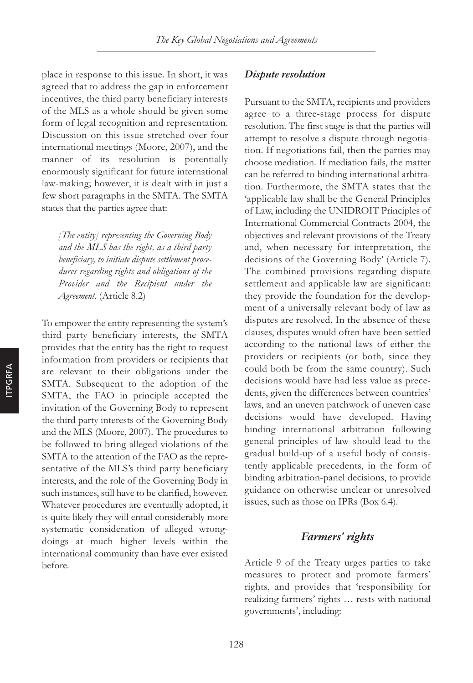place in response to this issue. In short, it was agreed that to address the gap in enforcement incentives, the third party beneficiary interests of the MLS as a whole should be given some form of legal recognition and representation. Discussion on this issue stretched over four international meetings (Moore, 2007), and the manner of its resolution is potentially enormously significant for future international law-making; however, it is dealt with in just a few short paragraphs in the SMTA. The SMTA states that the parties agree that:

*[The entity] representing the Governing Body and the MLS has the right, as a third party beneficiary, to initiate dispute settlement procedures regarding rights and obligations of the Provider and the Recipient under the Agreement.* (Article 8.2)

To empower the entity representing the system's third party beneficiary interests, the SMTA provides that the entity has the right to request information from providers or recipients that are relevant to their obligations under the SMTA. Subsequent to the adoption of the SMTA, the FAO in principle accepted the invitation of the Governing Body to represent the third party interests of the Governing Body and the MLS (Moore, 2007). The procedures to be followed to bring alleged violations of the SMTA to the attention of the FAO as the representative of the MLS's third party beneficiary interests, and the role of the Governing Body in such instances, still have to be clarified, however. Whatever procedures are eventually adopted, it is quite likely they will entail considerably more systematic consideration of alleged wrongdoings at much higher levels within the international community than have ever existed before.

#### *Dispute resolution*

Pursuant to the SMTA, recipients and providers agree to a three-stage process for dispute resolution. The first stage is that the parties will attempt to resolve a dispute through negotiation. If negotiations fail, then the parties may choose mediation. If mediation fails, the matter can be referred to binding international arbitration. Furthermore, the SMTA states that the 'applicable law shall be the General Principles of Law, including the UNIDROIT Principles of International Commercial Contracts 2004, the objectives and relevant provisions of the Treaty and, when necessary for interpretation, the decisions of the Governing Body' (Article 7). The combined provisions regarding dispute settlement and applicable law are significant: they provide the foundation for the development of a universally relevant body of law as disputes are resolved. In the absence of these clauses, disputes would often have been settled according to the national laws of either the providers or recipients (or both, since they could both be from the same country). Such decisions would have had less value as precedents, given the differences between countries' laws, and an uneven patchwork of uneven case decisions would have developed. Having binding international arbitration following general principles of law should lead to the gradual build-up of a useful body of consistently applicable precedents, in the form of binding arbitration-panel decisions, to provide guidance on otherwise unclear or unresolved issues, such as those on IPRs (Box 6.4).

#### *Farmers' rights*

Article 9 of the Treaty urges parties to take measures to protect and promote farmers' rights, and provides that 'responsibility for realizing farmers' rights … rests with national governments', including: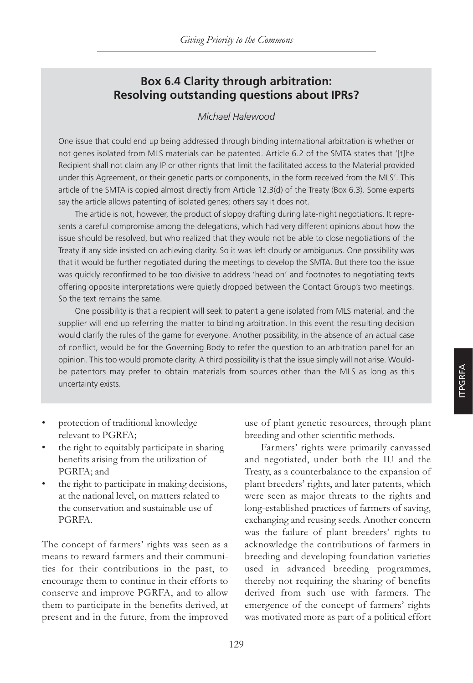## **Box 6.4 Clarity through arbitration: Resolving outstanding questions about IPRs?**

#### *Michael Halewood*

One issue that could end up being addressed through binding international arbitration is whether or not genes isolated from MLS materials can be patented. Article 6.2 of the SMTA states that '[t]he Recipient shall not claim any IP or other rights that limit the facilitated access to the Material provided under this Agreement, or their genetic parts or components, in the form received from the MLS'. This article of the SMTA is copied almost directly from Article 12.3(d) of the Treaty (Box 6.3). Some experts say the article allows patenting of isolated genes; others say it does not.

The article is not, however, the product of sloppy drafting during late-night negotiations. It represents a careful compromise among the delegations, which had very different opinions about how the issue should be resolved, but who realized that they would not be able to close negotiations of the Treaty if any side insisted on achieving clarity. So it was left cloudy or ambiguous. One possibility was that it would be further negotiated during the meetings to develop the SMTA. But there too the issue was quickly reconfirmed to be too divisive to address 'head on' and footnotes to negotiating texts offering opposite interpretations were quietly dropped between the Contact Group's two meetings. So the text remains the same.

One possibility is that a recipient will seek to patent a gene isolated from MLS material, and the supplier will end up referring the matter to binding arbitration. In this event the resulting decision would clarify the rules of the game for everyone. Another possibility, in the absence of an actual case of conflict, would be for the Governing Body to refer the question to an arbitration panel for an opinion. This too would promote clarity. A third possibility is that the issue simply will not arise. Wouldbe patentors may prefer to obtain materials from sources other than the MLS as long as this uncertainty exists.

- protection of traditional knowledge relevant to PGRFA;
- the right to equitably participate in sharing benefits arising from the utilization of PGRFA; and
- the right to participate in making decisions, at the national level, on matters related to the conservation and sustainable use of **PGRFA**

The concept of farmers' rights was seen as a means to reward farmers and their communities for their contributions in the past, to encourage them to continue in their efforts to conserve and improve PGRFA, and to allow them to participate in the benefits derived, at present and in the future, from the improved use of plant genetic resources, through plant breeding and other scientific methods.

Farmers' rights were primarily canvassed and negotiated, under both the IU and the Treaty, as a counterbalance to the expansion of plant breeders' rights, and later patents, which were seen as major threats to the rights and long-established practices of farmers of saving, exchanging and reusing seeds. Another concern was the failure of plant breeders' rights to acknowledge the contributions of farmers in breeding and developing foundation varieties used in advanced breeding programmes, thereby not requiring the sharing of benefits derived from such use with farmers. The emergence of the concept of farmers' rights was motivated more as part of a political effort

ITPGRFA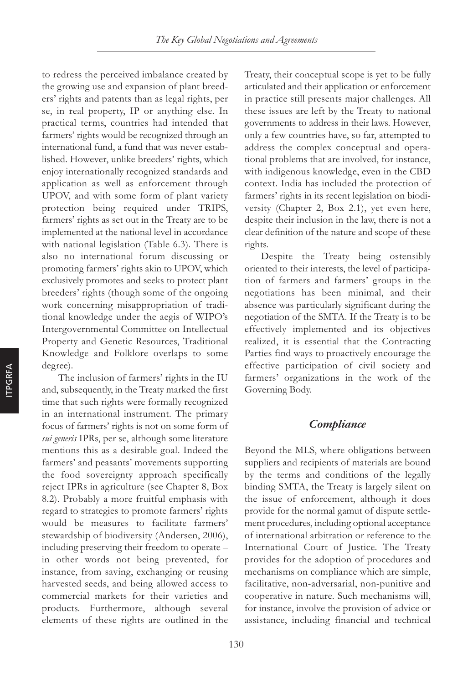to redress the perceived imbalance created by the growing use and expansion of plant breeders' rights and patents than as legal rights, per se, in real property, IP or anything else. In practical terms, countries had intended that farmers' rights would be recognized through an international fund, a fund that was never established. However, unlike breeders' rights, which enjoy internationally recognized standards and application as well as enforcement through UPOV, and with some form of plant variety protection being required under TRIPS, farmers' rights as set out in the Treaty are to be implemented at the national level in accordance with national legislation (Table 6.3). There is also no international forum discussing or promoting farmers' rights akin to UPOV, which exclusively promotes and seeks to protect plant breeders' rights (though some of the ongoing work concerning misappropriation of traditional knowledge under the aegis of WIPO's Intergovernmental Committee on Intellectual Property and Genetic Resources, Traditional Knowledge and Folklore overlaps to some degree).

The inclusion of farmers' rights in the IU and, subsequently, in the Treaty marked the first time that such rights were formally recognized in an international instrument. The primary focus of farmers' rights is not on some form of *sui generis* IPRs, per se, although some literature mentions this as a desirable goal. Indeed the farmers' and peasants' movements supporting the food sovereignty approach specifically reject IPRs in agriculture (see Chapter 8, Box 8.2). Probably a more fruitful emphasis with regard to strategies to promote farmers' rights would be measures to facilitate farmers' stewardship of biodiversity (Andersen, 2006), including preserving their freedom to operate – in other words not being prevented, for instance, from saving, exchanging or reusing harvested seeds, and being allowed access to commercial markets for their varieties and products. Furthermore, although several elements of these rights are outlined in the Treaty, their conceptual scope is yet to be fully articulated and their application or enforcement in practice still presents major challenges. All these issues are left by the Treaty to national governments to address in their laws. However, only a few countries have, so far, attempted to address the complex conceptual and operational problems that are involved, for instance, with indigenous knowledge, even in the CBD context. India has included the protection of farmers' rights in its recent legislation on biodiversity (Chapter 2, Box 2.1), yet even here, despite their inclusion in the law, there is not a clear definition of the nature and scope of these rights.

Despite the Treaty being ostensibly oriented to their interests, the level of participation of farmers and farmers' groups in the negotiations has been minimal, and their absence was particularly significant during the negotiation of the SMTA. If the Treaty is to be effectively implemented and its objectives realized, it is essential that the Contracting Parties find ways to proactively encourage the effective participation of civil society and farmers' organizations in the work of the Governing Body.

#### *Compliance*

Beyond the MLS, where obligations between suppliers and recipients of materials are bound by the terms and conditions of the legally binding SMTA, the Treaty is largely silent on the issue of enforcement, although it does provide for the normal gamut of dispute settlement procedures, including optional acceptance of international arbitration or reference to the International Court of Justice. The Treaty provides for the adoption of procedures and mechanisms on compliance which are simple, facilitative, non-adversarial, non-punitive and cooperative in nature. Such mechanisms will, for instance, involve the provision of advice or assistance, including financial and technical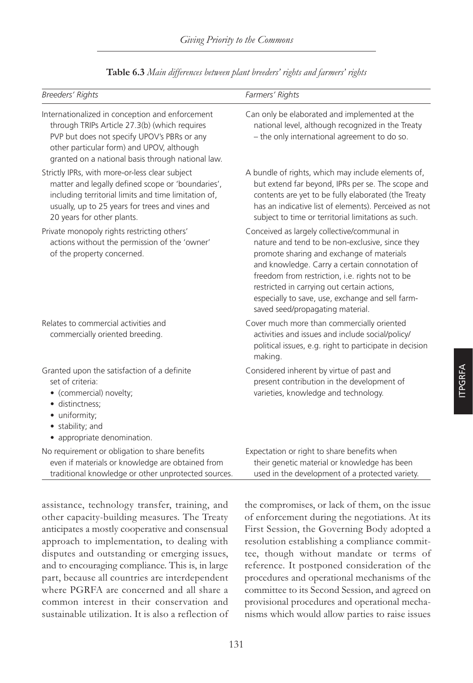| <b>Breeders' Rights</b>                                                                                                                                                                                                                           | Farmers' Rights                                                                                                                                                                                                                                                                                                                                                                        |
|---------------------------------------------------------------------------------------------------------------------------------------------------------------------------------------------------------------------------------------------------|----------------------------------------------------------------------------------------------------------------------------------------------------------------------------------------------------------------------------------------------------------------------------------------------------------------------------------------------------------------------------------------|
| Internationalized in conception and enforcement<br>through TRIPs Article 27.3(b) (which requires<br>PVP but does not specify UPOV's PBRs or any<br>other particular form) and UPOV, although<br>granted on a national basis through national law. | Can only be elaborated and implemented at the<br>national level, although recognized in the Treaty<br>- the only international agreement to do so.                                                                                                                                                                                                                                     |
| Strictly IPRs, with more-or-less clear subject<br>matter and legally defined scope or 'boundaries',<br>including territorial limits and time limitation of,<br>usually, up to 25 years for trees and vines and<br>20 years for other plants.      | A bundle of rights, which may include elements of,<br>but extend far beyond, IPRs per se. The scope and<br>contents are yet to be fully elaborated (the Treaty<br>has an indicative list of elements). Perceived as not<br>subject to time or territorial limitations as such.                                                                                                         |
| Private monopoly rights restricting others'<br>actions without the permission of the 'owner'<br>of the property concerned.                                                                                                                        | Conceived as largely collective/communal in<br>nature and tend to be non-exclusive, since they<br>promote sharing and exchange of materials<br>and knowledge. Carry a certain connotation of<br>freedom from restriction, i.e. rights not to be<br>restricted in carrying out certain actions,<br>especially to save, use, exchange and sell farm-<br>saved seed/propagating material. |
| Relates to commercial activities and<br>commercially oriented breeding.                                                                                                                                                                           | Cover much more than commercially oriented<br>activities and issues and include social/policy/<br>political issues, e.g. right to participate in decision<br>making.                                                                                                                                                                                                                   |
| Granted upon the satisfaction of a definite<br>set of criteria:<br>• (commercial) novelty;<br>· distinctness:<br>· uniformity;<br>• stability; and<br>• appropriate denomination.                                                                 | Considered inherent by virtue of past and<br>present contribution in the development of<br>varieties, knowledge and technology.                                                                                                                                                                                                                                                        |
| No requirement or obligation to share benefits<br>even if materials or knowledge are obtained from<br>traditional knowledge or other unprotected sources.                                                                                         | Expectation or right to share benefits when<br>their genetic material or knowledge has been<br>used in the development of a protected variety.                                                                                                                                                                                                                                         |

**Table 6.3** *Main differences between plant breeders' rights and farmers' rights*

assistance, technology transfer, training, and other capacity-building measures. The Treaty anticipates a mostly cooperative and consensual approach to implementation, to dealing with disputes and outstanding or emerging issues, and to encouraging compliance. This is, in large part, because all countries are interdependent where PGRFA are concerned and all share a common interest in their conservation and sustainable utilization. It is also a reflection of the compromises, or lack of them, on the issue of enforcement during the negotiations. At its First Session, the Governing Body adopted a resolution establishing a compliance committee, though without mandate or terms of reference. It postponed consideration of the procedures and operational mechanisms of the committee to its Second Session, and agreed on provisional procedures and operational mechanisms which would allow parties to raise issues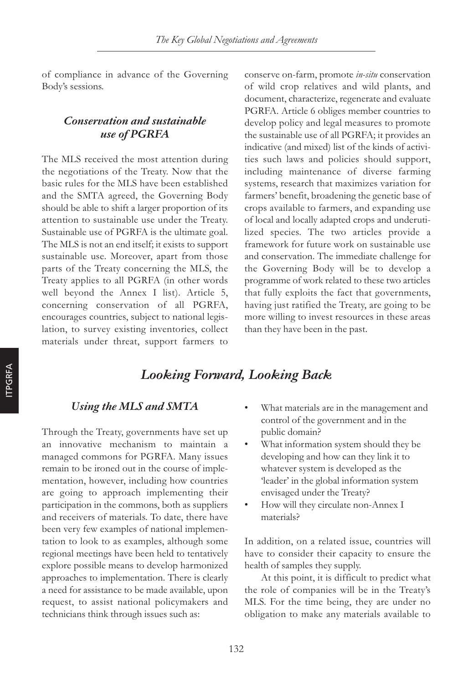of compliance in advance of the Governing Body's sessions.

## *Conservation and sustainable use of PGRFA*

The MLS received the most attention during the negotiations of the Treaty. Now that the basic rules for the MLS have been established and the SMTA agreed, the Governing Body should be able to shift a larger proportion of its attention to sustainable use under the Treaty. Sustainable use of PGRFA is the ultimate goal. The MLS is not an end itself; it exists to support sustainable use. Moreover, apart from those parts of the Treaty concerning the MLS, the Treaty applies to all PGRFA (in other words well beyond the Annex I list). Article 5, concerning conservation of all PGRFA, encourages countries, subject to national legislation, to survey existing inventories, collect materials under threat, support farmers to conserve on-farm, promote *in-situ* conservation of wild crop relatives and wild plants, and document, characterize, regenerate and evaluate PGRFA. Article 6 obliges member countries to develop policy and legal measures to promote the sustainable use of all PGRFA; it provides an indicative (and mixed) list of the kinds of activities such laws and policies should support, including maintenance of diverse farming systems, research that maximizes variation for farmers' benefit, broadening the genetic base of crops available to farmers, and expanding use of local and locally adapted crops and underutilized species. The two articles provide a framework for future work on sustainable use and conservation. The immediate challenge for the Governing Body will be to develop a programme of work related to these two articles that fully exploits the fact that governments, having just ratified the Treaty, are going to be more willing to invest resources in these areas than they have been in the past.

# *Looking Forward, Looking Back*

#### *Using the MLS and SMTA*

Through the Treaty, governments have set up an innovative mechanism to maintain a managed commons for PGRFA. Many issues remain to be ironed out in the course of implementation, however, including how countries are going to approach implementing their participation in the commons, both as suppliers and receivers of materials. To date, there have been very few examples of national implementation to look to as examples, although some regional meetings have been held to tentatively explore possible means to develop harmonized approaches to implementation. There is clearly a need for assistance to be made available, upon request, to assist national policymakers and technicians think through issues such as:

- What materials are in the management and control of the government and in the public domain?
- What information system should they be developing and how can they link it to whatever system is developed as the 'leader' in the global information system envisaged under the Treaty?
- How will they circulate non-Annex I materials?

In addition, on a related issue, countries will have to consider their capacity to ensure the health of samples they supply.

At this point, it is difficult to predict what the role of companies will be in the Treaty's MLS. For the time being, they are under no obligation to make any materials available to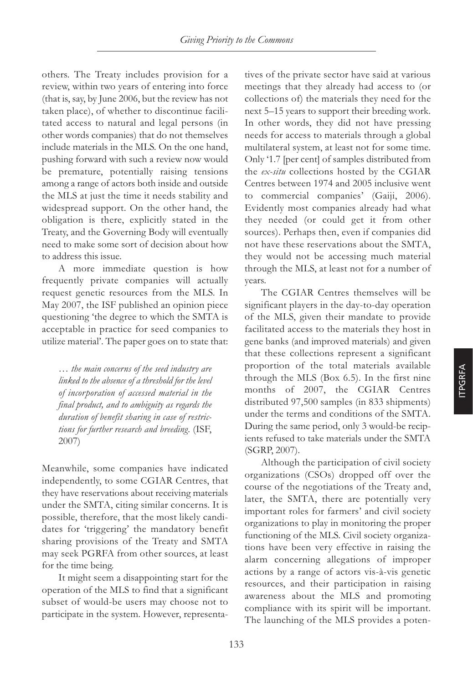others. The Treaty includes provision for a review, within two years of entering into force (that is, say, by June 2006, but the review has not taken place), of whether to discontinue facilitated access to natural and legal persons (in other words companies) that do not themselves include materials in the MLS. On the one hand, pushing forward with such a review now would be premature, potentially raising tensions among a range of actors both inside and outside the MLS at just the time it needs stability and widespread support. On the other hand, the obligation is there, explicitly stated in the Treaty, and the Governing Body will eventually need to make some sort of decision about how to address this issue.

A more immediate question is how frequently private companies will actually request genetic resources from the MLS. In May 2007, the ISF published an opinion piece questioning 'the degree to which the SMTA is acceptable in practice for seed companies to utilize material'. The paper goes on to state that:

*… the main concerns of the seed industry are linked to the absence of a threshold for the level of incorporation of accessed material in the final product, and to ambiguity as regards the duration of benefit sharing in case of restrictions for further research and breeding.* (ISF, 2007)

Meanwhile, some companies have indicated independently, to some CGIAR Centres, that they have reservations about receiving materials under the SMTA, citing similar concerns. It is possible, therefore, that the most likely candidates for 'triggering' the mandatory benefit sharing provisions of the Treaty and SMTA may seek PGRFA from other sources, at least for the time being.

It might seem a disappointing start for the operation of the MLS to find that a significant subset of would-be users may choose not to participate in the system. However, representatives of the private sector have said at various meetings that they already had access to (or collections of) the materials they need for the next 5–15 years to support their breeding work. In other words, they did not have pressing needs for access to materials through a global multilateral system, at least not for some time. Only '1.7 [per cent] of samples distributed from the *ex-situ* collections hosted by the CGIAR Centres between 1974 and 2005 inclusive went to commercial companies' (Gaiji, 2006). Evidently most companies already had what they needed (or could get it from other sources). Perhaps then, even if companies did not have these reservations about the SMTA, they would not be accessing much material through the MLS, at least not for a number of years.

The CGIAR Centres themselves will be significant players in the day-to-day operation of the MLS, given their mandate to provide facilitated access to the materials they host in gene banks (and improved materials) and given that these collections represent a significant proportion of the total materials available through the MLS (Box 6.5). In the first nine months of 2007, the CGIAR Centres distributed 97,500 samples (in 833 shipments) under the terms and conditions of the SMTA. During the same period, only 3 would-be recipients refused to take materials under the SMTA (SGRP, 2007).

Although the participation of civil society organizations (CSOs) dropped off over the course of the negotiations of the Treaty and, later, the SMTA, there are potentially very important roles for farmers' and civil society organizations to play in monitoring the proper functioning of the MLS. Civil society organizations have been very effective in raising the alarm concerning allegations of improper actions by a range of actors vis-à-vis genetic resources, and their participation in raising awareness about the MLS and promoting compliance with its spirit will be important. The launching of the MLS provides a poten-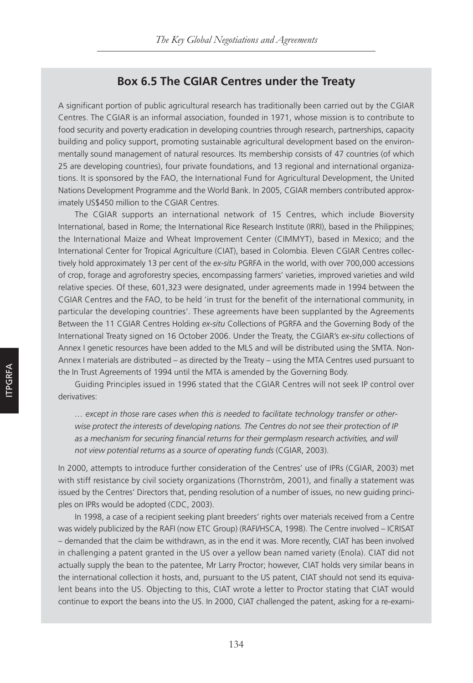#### **Box 6.5 The CGIAR Centres under the Treaty**

A significant portion of public agricultural research has traditionally been carried out by the CGIAR Centres. The CGIAR is an informal association, founded in 1971, whose mission is to contribute to food security and poverty eradication in developing countries through research, partnerships, capacity building and policy support, promoting sustainable agricultural development based on the environmentally sound management of natural resources. Its membership consists of 47 countries (of which 25 are developing countries), four private foundations, and 13 regional and international organizations. It is sponsored by the FAO, the International Fund for Agricultural Development, the United Nations Development Programme and the World Bank. In 2005, CGIAR members contributed approximately US\$450 million to the CGIAR Centres.

The CGIAR supports an international network of 15 Centres, which include Bioversity International, based in Rome; the International Rice Research Institute (IRRI), based in the Philippines; the International Maize and Wheat Improvement Center (CIMMYT), based in Mexico; and the International Center for Tropical Agriculture (CIAT), based in Colombia. Eleven CGIAR Centres collectively hold approximately 13 per cent of the *ex-situ* PGRFA in the world, with over 700,000 accessions of crop, forage and agroforestry species, encompassing farmers' varieties, improved varieties and wild relative species. Of these, 601,323 were designated, under agreements made in 1994 between the CGIAR Centres and the FAO, to be held 'in trust for the benefit of the international community, in particular the developing countries'. These agreements have been supplanted by the Agreements Between the 11 CGIAR Centres Holding *ex-situ* Collections of PGRFA and the Governing Body of the International Treaty signed on 16 October 2006. Under the Treaty, the CGIAR's *ex-situ* collections of Annex I genetic resources have been added to the MLS and will be distributed using the SMTA. Non-Annex I materials are distributed – as directed by the Treaty – using the MTA Centres used pursuant to the In Trust Agreements of 1994 until the MTA is amended by the Governing Body.

Guiding Principles issued in 1996 stated that the CGIAR Centres will not seek IP control over derivatives:

*… except in those rare cases when this is needed to facilitate technology transfer or otherwise protect the interests of developing nations. The Centres do not see their protection of IP as a mechanism for securing financial returns for their germplasm research activities, and will not view potential returns as a source of operating funds* (CGIAR, 2003).

In 2000, attempts to introduce further consideration of the Centres' use of IPRs (CGIAR, 2003) met with stiff resistance by civil society organizations (Thornström, 2001), and finally a statement was issued by the Centres' Directors that, pending resolution of a number of issues, no new guiding principles on IPRs would be adopted (CDC, 2003).

In 1998, a case of a recipient seeking plant breeders' rights over materials received from a Centre was widely publicized by the RAFI (now ETC Group) (RAFI/HSCA, 1998). The Centre involved – ICRISAT – demanded that the claim be withdrawn, as in the end it was. More recently, CIAT has been involved in challenging a patent granted in the US over a yellow bean named variety (Enola). CIAT did not actually supply the bean to the patentee, Mr Larry Proctor; however, CIAT holds very similar beans in the international collection it hosts, and, pursuant to the US patent, CIAT should not send its equivalent beans into the US. Objecting to this, CIAT wrote a letter to Proctor stating that CIAT would continue to export the beans into the US. In 2000, CIAT challenged the patent, asking for a re-exami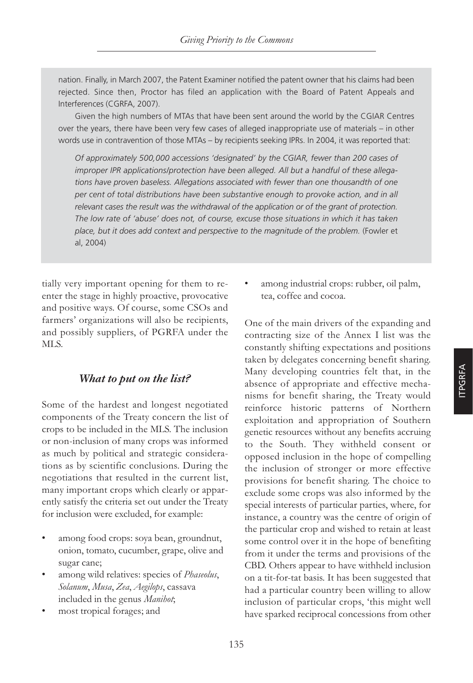nation. Finally, in March 2007, the Patent Examiner notified the patent owner that his claims had been rejected. Since then, Proctor has filed an application with the Board of Patent Appeals and Interferences (CGRFA, 2007).

Given the high numbers of MTAs that have been sent around the world by the CGIAR Centres over the years, there have been very few cases of alleged inappropriate use of materials – in other words use in contravention of those MTAs – by recipients seeking IPRs. In 2004, it was reported that:

*Of approximately 500,000 accessions 'designated' by the CGIAR, fewer than 200 cases of improper IPR applications/protection have been alleged. All but a handful of these allegations have proven baseless. Allegations associated with fewer than one thousandth of one per cent of total distributions have been substantive enough to provoke action, and in all relevant cases the result was the withdrawal of the application or of the grant of protection. The low rate of 'abuse' does not, of course, excuse those situations in which it has taken place, but it does add context and perspective to the magnitude of the problem.* (Fowler et al, 2004)

tially very important opening for them to reenter the stage in highly proactive, provocative and positive ways. Of course, some CSOs and farmers' organizations will also be recipients, and possibly suppliers, of PGRFA under the MLS.

## *What to put on the list?*

Some of the hardest and longest negotiated components of the Treaty concern the list of crops to be included in the MLS. The inclusion or non-inclusion of many crops was informed as much by political and strategic considerations as by scientific conclusions. During the negotiations that resulted in the current list, many important crops which clearly or apparently satisfy the criteria set out under the Treaty for inclusion were excluded, for example:

- among food crops: soya bean, groundnut, onion, tomato, cucumber, grape, olive and sugar cane;
- among wild relatives: species of *Phaseolus*, *Solanum*, *Musa*, *Zea*, *Aegilops*, cassava included in the genus *Manihot*;
- most tropical forages; and

• among industrial crops: rubber, oil palm, tea, coffee and cocoa.

One of the main drivers of the expanding and contracting size of the Annex I list was the constantly shifting expectations and positions taken by delegates concerning benefit sharing. Many developing countries felt that, in the absence of appropriate and effective mechanisms for benefit sharing, the Treaty would reinforce historic patterns of Northern exploitation and appropriation of Southern genetic resources without any benefits accruing to the South. They withheld consent or opposed inclusion in the hope of compelling the inclusion of stronger or more effective provisions for benefit sharing. The choice to exclude some crops was also informed by the special interests of particular parties, where, for instance, a country was the centre of origin of the particular crop and wished to retain at least some control over it in the hope of benefiting from it under the terms and provisions of the CBD. Others appear to have withheld inclusion on a tit-for-tat basis. It has been suggested that had a particular country been willing to allow inclusion of particular crops, 'this might well have sparked reciprocal concessions from other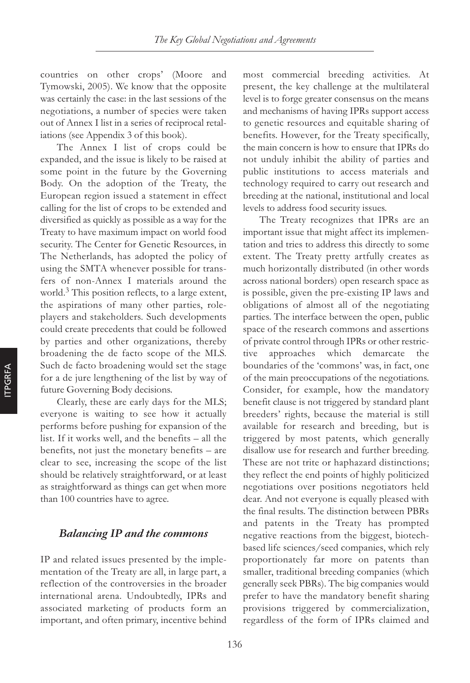countries on other crops' (Moore and Tymowski, 2005). We know that the opposite was certainly the case: in the last sessions of the negotiations, a number of species were taken out of Annex I list in a series of reciprocal retaliations (see Appendix 3 of this book).

The Annex I list of crops could be expanded, and the issue is likely to be raised at some point in the future by the Governing Body. On the adoption of the Treaty, the European region issued a statement in effect calling for the list of crops to be extended and diversified as quickly as possible as a way for the Treaty to have maximum impact on world food security. The Center for Genetic Resources, in The Netherlands, has adopted the policy of using the SMTA whenever possible for transfers of non-Annex I materials around the world.<sup>3</sup> This position reflects, to a large extent, the aspirations of many other parties, roleplayers and stakeholders. Such developments could create precedents that could be followed by parties and other organizations, thereby broadening the de facto scope of the MLS. Such de facto broadening would set the stage for a de jure lengthening of the list by way of future Governing Body decisions.

Clearly, these are early days for the MLS; everyone is waiting to see how it actually performs before pushing for expansion of the list. If it works well, and the benefits – all the benefits, not just the monetary benefits – are clear to see, increasing the scope of the list should be relatively straightforward, or at least as straightforward as things can get when more than 100 countries have to agree.

#### *Balancing IP and the commons*

IP and related issues presented by the implementation of the Treaty are all, in large part, a reflection of the controversies in the broader international arena. Undoubtedly, IPRs and associated marketing of products form an important, and often primary, incentive behind most commercial breeding activities. At present, the key challenge at the multilateral level is to forge greater consensus on the means and mechanisms of having IPRs support access to genetic resources and equitable sharing of benefits. However, for the Treaty specifically, the main concern is how to ensure that IPRs do not unduly inhibit the ability of parties and public institutions to access materials and technology required to carry out research and breeding at the national, institutional and local levels to address food security issues.

The Treaty recognizes that IPRs are an important issue that might affect its implementation and tries to address this directly to some extent. The Treaty pretty artfully creates as much horizontally distributed (in other words across national borders) open research space as is possible, given the pre-existing IP laws and obligations of almost all of the negotiating parties. The interface between the open, public space of the research commons and assertions of private control through IPRs or other restrictive approaches which demarcate the boundaries of the 'commons' was, in fact, one of the main preoccupations of the negotiations. Consider, for example, how the mandatory benefit clause is not triggered by standard plant breeders' rights, because the material is still available for research and breeding, but is triggered by most patents, which generally disallow use for research and further breeding. These are not trite or haphazard distinctions; they reflect the end points of highly politicized negotiations over positions negotiators held dear. And not everyone is equally pleased with the final results. The distinction between PBRs and patents in the Treaty has prompted negative reactions from the biggest, biotechbased life sciences/seed companies, which rely proportionately far more on patents than smaller, traditional breeding companies (which generally seek PBRs). The big companies would prefer to have the mandatory benefit sharing provisions triggered by commercialization, regardless of the form of IPRs claimed and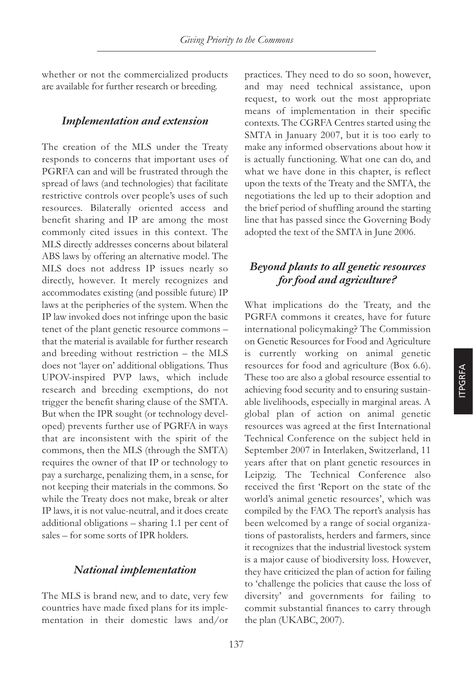whether or not the commercialized products are available for further research or breeding.

#### *Implementation and extension*

The creation of the MLS under the Treaty responds to concerns that important uses of PGRFA can and will be frustrated through the spread of laws (and technologies) that facilitate restrictive controls over people's uses of such resources. Bilaterally oriented access and benefit sharing and IP are among the most commonly cited issues in this context. The MLS directly addresses concerns about bilateral ABS laws by offering an alternative model. The MLS does not address IP issues nearly so directly, however. It merely recognizes and accommodates existing (and possible future) IP laws at the peripheries of the system. When the IP law invoked does not infringe upon the basic tenet of the plant genetic resource commons – that the material is available for further research and breeding without restriction – the MLS does not 'layer on' additional obligations. Thus UPOV-inspired PVP laws, which include research and breeding exemptions, do not trigger the benefit sharing clause of the SMTA. But when the IPR sought (or technology developed) prevents further use of PGRFA in ways that are inconsistent with the spirit of the commons, then the MLS (through the SMTA) requires the owner of that IP or technology to pay a surcharge, penalizing them, in a sense, for not keeping their materials in the commons. So while the Treaty does not make, break or alter IP laws, it is not value-neutral, and it does create additional obligations – sharing 1.1 per cent of sales – for some sorts of IPR holders.

#### *National implementation*

The MLS is brand new, and to date, very few countries have made fixed plans for its implementation in their domestic laws and/or practices. They need to do so soon, however, and may need technical assistance, upon request, to work out the most appropriate means of implementation in their specific contexts. The CGRFA Centres started using the SMTA in January 2007, but it is too early to make any informed observations about how it is actually functioning. What one can do, and what we have done in this chapter, is reflect upon the texts of the Treaty and the SMTA, the negotiations the led up to their adoption and the brief period of shuffling around the starting line that has passed since the Governing Body adopted the text of the SMTA in June 2006.

### *Beyond plants to all genetic resources for food and agriculture?*

What implications do the Treaty, and the PGRFA commons it creates, have for future international policymaking? The Commission on Genetic Resources for Food and Agriculture is currently working on animal genetic resources for food and agriculture (Box 6.6). These too are also a global resource essential to achieving food security and to ensuring sustainable livelihoods, especially in marginal areas. A global plan of action on animal genetic resources was agreed at the first International Technical Conference on the subject held in September 2007 in Interlaken, Switzerland, 11 years after that on plant genetic resources in Leipzig. The Technical Conference also received the first 'Report on the state of the world's animal genetic resources', which was compiled by the FAO. The report's analysis has been welcomed by a range of social organizations of pastoralists, herders and farmers, since it recognizes that the industrial livestock system is a major cause of biodiversity loss. However, they have criticized the plan of action for failing to 'challenge the policies that cause the loss of diversity' and governments for failing to commit substantial finances to carry through the plan (UKABC, 2007).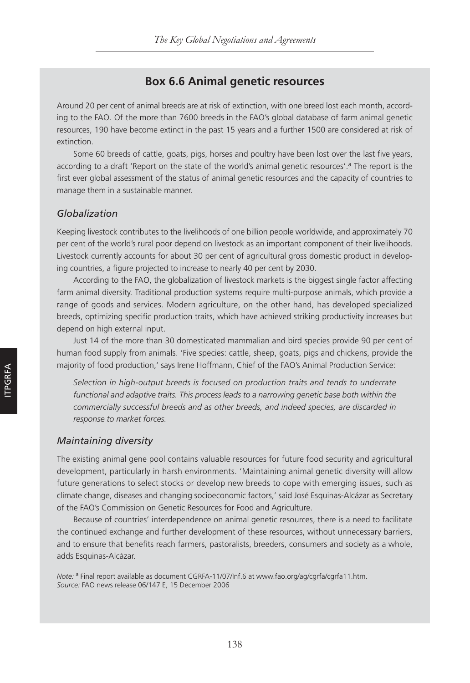#### **Box 6.6 Animal genetic resources**

Around 20 per cent of animal breeds are at risk of extinction, with one breed lost each month, according to the FAO. Of the more than 7600 breeds in the FAO's global database of farm animal genetic resources, 190 have become extinct in the past 15 years and a further 1500 are considered at risk of extinction.

Some 60 breeds of cattle, goats, pigs, horses and poultry have been lost over the last five years, according to a draft 'Report on the state of the world's animal genetic resources'.<sup>a</sup> The report is the first ever global assessment of the status of animal genetic resources and the capacity of countries to manage them in a sustainable manner.

#### *Globalization*

Keeping livestock contributes to the livelihoods of one billion people worldwide, and approximately 70 per cent of the world's rural poor depend on livestock as an important component of their livelihoods. Livestock currently accounts for about 30 per cent of agricultural gross domestic product in developing countries, a figure projected to increase to nearly 40 per cent by 2030.

According to the FAO, the globalization of livestock markets is the biggest single factor affecting farm animal diversity. Traditional production systems require multi-purpose animals, which provide a range of goods and services. Modern agriculture, on the other hand, has developed specialized breeds, optimizing specific production traits, which have achieved striking productivity increases but depend on high external input.

Just 14 of the more than 30 domesticated mammalian and bird species provide 90 per cent of human food supply from animals. 'Five species: cattle, sheep, goats, pigs and chickens, provide the majority of food production,' says Irene Hoffmann, Chief of the FAO's Animal Production Service:

*Selection in high-output breeds is focused on production traits and tends to underrate functional and adaptive traits. This process leads to a narrowing genetic base both within the commercially successful breeds and as other breeds, and indeed species, are discarded in response to market forces.*

#### *Maintaining diversity*

The existing animal gene pool contains valuable resources for future food security and agricultural development, particularly in harsh environments. 'Maintaining animal genetic diversity will allow future generations to select stocks or develop new breeds to cope with emerging issues, such as climate change, diseases and changing socioeconomic factors,' said José Esquinas-Alcázar as Secretary of the FAO's Commission on Genetic Resources for Food and Agriculture.

Because of countries' interdependence on animal genetic resources, there is a need to facilitate the continued exchange and further development of these resources, without unnecessary barriers, and to ensure that benefits reach farmers, pastoralists, breeders, consumers and society as a whole, adds Esquinas-Alcázar.

*Note:* <sup>a</sup> Final report available as document CGRFA-11/07/Inf.6 at www.fao.org/ag/cgrfa/cgrfa11.htm. *Source:* FAO news release 06/147 E, 15 December 2006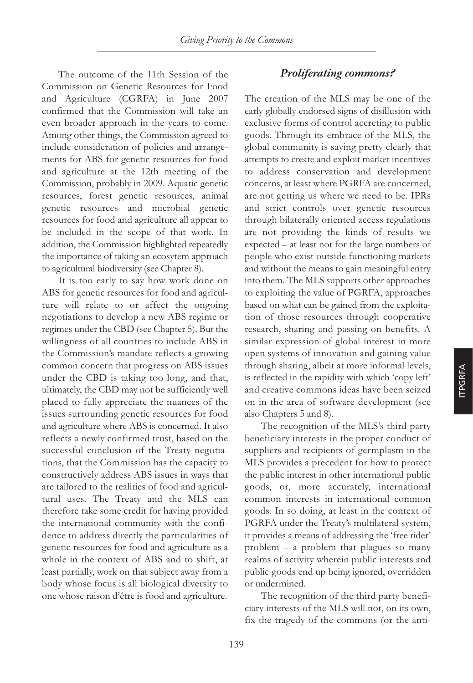The outcome of the 11th Session of the Commission on Genetic Resources for Food and Agriculture (CGRFA) in June 2007 confirmed that the Commission will take an even broader approach in the years to come. Among other things, the Commission agreed to include consideration of policies and arrangements for ABS for genetic resources for food and agriculture at the 12th meeting of the Commission, probably in 2009. Aquatic genetic resources, forest genetic resources, animal genetic resources and microbial genetic resources for food and agriculture all appear to be included in the scope of that work. In addition, the Commission highlighted repeatedly the importance of taking an ecosytem approach to agricultural biodiversity (see Chapter 8).

It is too early to say how work done on ABS for genetic resources for food and agriculture will relate to or affect the ongoing negotiations to develop a new ABS regime or regimes under the CBD (see Chapter 5). But the willingness of all countries to include ABS in the Commission's mandate reflects a growing common concern that progress on ABS issues under the CBD is taking too long, and that, ultimately, the CBD may not be sufficiently well placed to fully appreciate the nuances of the issues surrounding genetic resources for food and agriculture where ABS is concerned. It also reflects a newly confirmed trust, based on the successful conclusion of the Treaty negotiations, that the Commission has the capacity to constructively address ABS issues in ways that are tailored to the realities of food and agricultural uses. The Treaty and the MLS can therefore take some credit for having provided the international community with the confidence to address directly the particularities of genetic resources for food and agriculture as a whole in the context of ABS and to shift, at least partially, work on that subject away from a body whose focus is all biological diversity to one whose raison d'être is food and agriculture.

#### *Proliferating commons?*

The creation of the MLS may be one of the early globally endorsed signs of disillusion with exclusive forms of control accreting to public goods. Through its embrace of the MLS, the global community is saying pretty clearly that attempts to create and exploit market incentives to address conservation and development concerns, at least where PGRFA are concerned, are not getting us where we need to be. IPRs and strict controls over genetic resources through bilaterally oriented access regulations are not providing the kinds of results we expected – at least not for the large numbers of people who exist outside functioning markets and without the means to gain meaningful entry into them. The MLS supports other approaches to exploiting the value of PGRFA, approaches based on what can be gained from the exploitation of those resources through cooperative research, sharing and passing on benefits. A similar expression of global interest in more open systems of innovation and gaining value through sharing, albeit at more informal levels, is reflected in the rapidity with which 'copy left' and creative commons ideas have been seized on in the area of software development (see also Chapters 5 and 8).

The recognition of the MLS's third party beneficiary interests in the proper conduct of suppliers and recipients of germplasm in the MLS provides a precedent for how to protect the public interest in other international public goods, or, more accurately, international common interests in international common goods. In so doing, at least in the context of PGRFA under the Treaty's multilateral system, it provides a means of addressing the 'free rider' problem – a problem that plagues so many realms of activity wherein public interests and public goods end up being ignored, overridden or undermined.

The recognition of the third party beneficiary interests of the MLS will not, on its own, fix the tragedy of the commons (or the anti